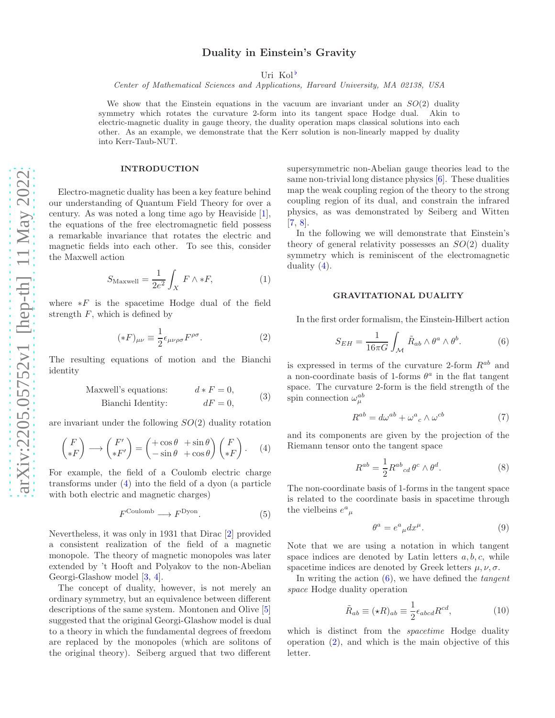# Duality in Einstein's Gravity

Uri Kol<sup>b</sup>

Center of Mathematical Sciences and Applications, Harvard University, MA 02138, USA

We show that the Einstein equations in the vacuum are invariant under an  $SO(2)$  duality symmetry which rotates the curvature 2-form into its tangent space Hodge dual. Akin to electric-magnetic duality in gauge theory, the duality operation maps classical solutions into each other. As an example, we demonstrate that the Kerr solution is non-linearly mapped by duality into Kerr-Taub-NUT.

#### INTRODUCTION

Electro-magnetic duality has been a key feature behind our understanding of Quantum Field Theory for over a century. As was noted a long time ago by Heaviside [\[1\]](#page-3-1), the equations of the free electromagnetic field possess a remarkable invariance that rotates the electric and magnetic fields into each other. To see this, consider the Maxwell action

<span id="page-0-6"></span>
$$
S_{\text{Maxwell}} = \frac{1}{2e^2} \int_X F \wedge *F,
$$
 (1)

where  $*F$  is the spacetime Hodge dual of the field strength  $F$ , which is defined by

<span id="page-0-2"></span>
$$
(*F)_{\mu\nu} \equiv \frac{1}{2} \epsilon_{\mu\nu\rho\sigma} F^{\rho\sigma}.
$$
 (2)

The resulting equations of motion and the Bianchi identity

Maxwell's equations: 
$$
d * F = 0,
$$
  
 Bianchi Identity:  $dF = 0,$  (3)

are invariant under the following  $SO(2)$  duality rotation

<span id="page-0-0"></span>
$$
\begin{pmatrix} F \ *F \end{pmatrix} \longrightarrow \begin{pmatrix} F' \ *F' \end{pmatrix} = \begin{pmatrix} +\cos\theta & +\sin\theta \\ -\sin\theta & +\cos\theta \end{pmatrix} \begin{pmatrix} F \\ *F \end{pmatrix}.
$$
 (4)

For example, the field of a Coulomb electric charge transforms under [\(4\)](#page-0-0) into the field of a dyon (a particle with both electric and magnetic charges)

<span id="page-0-5"></span>
$$
F^{\text{Coulomb}} \longrightarrow F^{\text{Dyon}}.\tag{5}
$$

Nevertheless, it was only in 1931 that Dirac [\[2](#page-3-2)] provided a consistent realization of the field of a magnetic monopole. The theory of magnetic monopoles was later extended by 't Hooft and Polyakov to the non-Abelian Georgi-Glashow model [\[3,](#page-3-3) [4\]](#page-3-4).

The concept of duality, however, is not merely an ordinary symmetry, but an equivalence between different descriptions of the same system. Montonen and Olive [\[5](#page-3-5)] suggested that the original Georgi-Glashow model is dual to a theory in which the fundamental degrees of freedom are replaced by the monopoles (which are solitons of the original theory). Seiberg argued that two different

supersymmetric non-Abelian gauge theories lead to the same non-trivial long distance physics [\[6](#page-3-6)]. These dualities map the weak coupling region of the theory to the strong coupling region of its dual, and constrain the infrared physics, as was demonstrated by Seiberg and Witten [\[7,](#page-3-7) [8\]](#page-3-8).

In the following we will demonstrate that Einstein's theory of general relativity possesses an  $SO(2)$  duality symmetry which is reminiscent of the electromagnetic duality  $(4)$ .

#### GRAVITATIONAL DUALITY

In the first order formalism, the Einstein-Hilbert action

<span id="page-0-1"></span>
$$
S_{EH} = \frac{1}{16\pi G} \int_{\mathcal{M}} \tilde{R}_{ab} \wedge \theta^a \wedge \theta^b.
$$
 (6)

is expressed in terms of the curvature 2-form  $R^{ab}$  and a non-coordinate basis of 1-forms  $\theta^a$  in the flat tangent space. The curvature 2-form is the field strength of the spin connection  $\omega_{\mu}^{ab}$ 

$$
R^{ab} = d\omega^{ab} + \omega^a{}_c \wedge \omega^{cb} \tag{7}
$$

and its components are given by the projection of the Riemann tensor onto the tangent space

<span id="page-0-4"></span>
$$
R^{ab} = \frac{1}{2} R^{ab}{}_{cd} \theta^c \wedge \theta^d.
$$
 (8)

The non-coordinate basis of 1-forms in the tangent space is related to the coordinate basis in spacetime through the vielbeins  $e^a{}_\mu$ 

<span id="page-0-3"></span>
$$
\theta^a = e^a{}_{\mu} dx^{\mu}.
$$
 (9)

Note that we are using a notation in which tangent space indices are denoted by Latin letters  $a, b, c$ , while spacetime indices are denoted by Greek letters  $\mu, \nu, \sigma$ .

In writing the action  $(6)$ , we have defined the *tangent* space Hodge duality operation

<span id="page-0-7"></span>
$$
\tilde{R}_{ab} \equiv (\star R)_{ab} \equiv \frac{1}{2} \epsilon_{abcd} R^{cd},\tag{10}
$$

which is distinct from the *spacetime* Hodge duality operation  $(2)$ , and which is the main objective of this letter.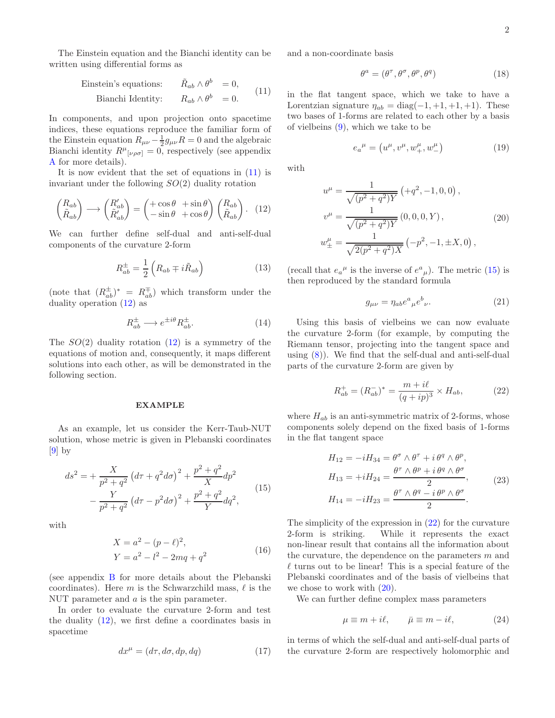The Einstein equation and the Bianchi identity can be written using differential forms as

<span id="page-1-0"></span>Einstein's equations: 
$$
\tilde{R}_{ab} \wedge \theta^b = 0
$$
,  
Bianchi Identity:  $R_{ab} \wedge \theta^b = 0$ . (11)

In components, and upon projection onto spacetime indices, these equations reproduce the familiar form of the Einstein equation  $R_{\mu\nu} - \frac{1}{2}g_{\mu\nu}R = 0$  and the algebraic Bianchi identity  $R^{\mu}{}_{[\nu\rho\sigma]} = 0$ , respectively (see appendix [A](#page-3-9) for more details).

It is now evident that the set of equations in [\(11\)](#page-1-0) is invariant under the following  $SO(2)$  duality rotation

<span id="page-1-1"></span>
$$
\begin{pmatrix} R_{ab} \\ \tilde{R}_{ab} \end{pmatrix} \longrightarrow \begin{pmatrix} R'_{ab} \\ \tilde{R}'_{ab} \end{pmatrix} = \begin{pmatrix} +\cos\theta & +\sin\theta \\ -\sin\theta & +\cos\theta \end{pmatrix} \begin{pmatrix} R_{ab} \\ \tilde{R}_{ab} \end{pmatrix} . \tag{12}
$$

We can further define self-dual and anti-self-dual components of the curvature 2-form

$$
R_{ab}^{\pm} = \frac{1}{2} \left( R_{ab} \mp i \tilde{R}_{ab} \right) \tag{13}
$$

(note that  $(R_{ab}^{\pm})^* = R_{ab}^{\mp}$ ) which transform under the duality operation [\(12\)](#page-1-1) as

$$
R_{ab}^{\pm} \longrightarrow e^{\pm i\theta} R_{ab}^{\pm}.
$$
 (14)

The  $SO(2)$  duality rotation  $(12)$  is a symmetry of the equations of motion and, consequently, it maps different solutions into each other, as will be demonstrated in the following section.

### EXAMPLE

As an example, let us consider the Kerr-Taub-NUT solution, whose metric is given in Plebanski coordinates  $[9]$  by

<span id="page-1-2"></span>
$$
ds^{2} = +\frac{X}{p^{2} + q^{2}} \left( d\tau + q^{2} d\sigma \right)^{2} + \frac{p^{2} + q^{2}}{X} dp^{2}
$$

$$
-\frac{Y}{p^{2} + q^{2}} \left( d\tau - p^{2} d\sigma \right)^{2} + \frac{p^{2} + q^{2}}{Y} dq^{2}, \tag{15}
$$

with

$$
X = a2 - (p - \ell)2,Y = a2 - l2 - 2mq + q2
$$
 (16)

(see appendix [B](#page-3-11) for more details about the Plebanski coordinates). Here m is the Schwarzchild mass,  $\ell$  is the NUT parameter and  $a$  is the spin parameter.

In order to evaluate the curvature 2-form and test the duality  $(12)$ , we first define a coordinates basis in spacetime

$$
dx^{\mu} = (d\tau, d\sigma, dp, dq) \tag{17}
$$

and a non-coordinate basis

$$
\theta^a = (\theta^\tau, \theta^\sigma, \theta^p, \theta^q) \tag{18}
$$

in the flat tangent space, which we take to have a Lorentzian signature  $\eta_{ab} = \text{diag}(-1, +1, +1, +1)$ . These two bases of 1-forms are related to each other by a basis of vielbeins [\(9\)](#page-0-3), which we take to be

$$
e_{a}{}^{\mu} = (u^{\mu}, v^{\mu}, w^{\mu}_{+}, w^{\mu}_{-})
$$
 (19)

with

<span id="page-1-4"></span>
$$
u^{\mu} = \frac{1}{\sqrt{(p^2 + q^2)Y}} \left( +q^2, -1, 0, 0 \right),
$$
  
\n
$$
v^{\mu} = \frac{1}{\sqrt{(p^2 + q^2)Y}} \left( 0, 0, 0, Y \right),
$$
  
\n
$$
w^{\mu}_{\pm} = \frac{1}{\sqrt{2(p^2 + q^2)X}} \left( -p^2, -1, \pm X, 0 \right),
$$
  
\n(20)

(recall that  $e_a^{\mu}$  is the inverse of  $e^a_{\mu}$ ). The metric [\(15\)](#page-1-2) is then reproduced by the standard formula

$$
g_{\mu\nu} = \eta_{ab} e^a{}_{\mu} e^b{}_{\nu}. \tag{21}
$$

Using this basis of vielbeins we can now evaluate the curvature 2-form (for example, by computing the Riemann tensor, projecting into the tangent space and using  $(8)$ ). We find that the self-dual and anti-self-dual parts of the curvature 2-form are given by

<span id="page-1-3"></span>
$$
R_{ab}^{+} = (R_{ab}^{-})^* = \frac{m + i\ell}{(q + ip)^3} \times H_{ab},
$$
 (22)

where  $H_{ab}$  is an anti-symmetric matrix of 2-forms, whose components solely depend on the fixed basis of 1-forms in the flat tangent space

$$
H_{12} = -iH_{34} = \theta^{\sigma} \wedge \theta^{\tau} + i \theta^{q} \wedge \theta^{p},
$$
  
\n
$$
H_{13} = +iH_{24} = \frac{\theta^{\tau} \wedge \theta^{p} + i \theta^{q} \wedge \theta^{\sigma}}{2},
$$
  
\n
$$
H_{14} = -iH_{23} = \frac{\theta^{\tau} \wedge \theta^{q} - i \theta^{p} \wedge \theta^{\sigma}}{2}.
$$
\n(23)

The simplicity of the expression in [\(22\)](#page-1-3) for the curvature 2-form is striking. While it represents the exact non-linear result that contains all the information about the curvature, the dependence on the parameters m and  $\ell$  turns out to be linear! This is a special feature of the Plebanski coordinates and of the basis of vielbeins that we chose to work with [\(20\)](#page-1-4).

We can further define complex mass parameters

$$
\mu \equiv m + i\ell, \qquad \bar{\mu} \equiv m - i\ell, \tag{24}
$$

in terms of which the self-dual and anti-self-dual parts of the curvature 2-form are respectively holomorphic and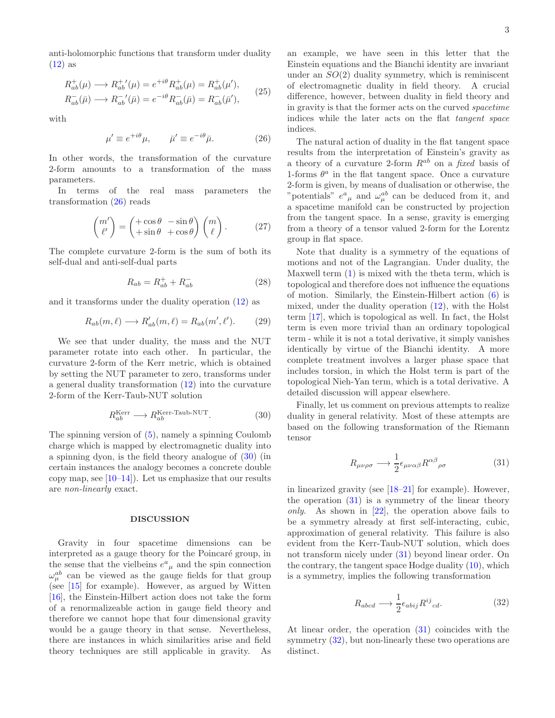anti-holomorphic functions that transform under duality  $(12)$  as

$$
R_{ab}^{+}(\mu) \longrightarrow R_{ab}^{+'}(\mu) = e^{+i\theta} R_{ab}^{+}(\mu) = R_{ab}^{+}(\mu'),
$$
  
\n
$$
R_{ab}^{-}(\bar{\mu}) \longrightarrow R_{ab}^{-'}(\bar{\mu}) = e^{-i\theta} R_{ab}^{-}(\bar{\mu}) = R_{ab}^{-}(\bar{\mu}'),
$$
\n(25)

with

<span id="page-2-0"></span>
$$
\mu' \equiv e^{+i\theta}\mu, \qquad \bar{\mu}' \equiv e^{-i\theta}\bar{\mu}.
$$
 (26)

In other words, the transformation of the curvature 2-form amounts to a transformation of the mass parameters.

In terms of the real mass parameters the transformation [\(26\)](#page-2-0) reads

$$
\begin{pmatrix} m' \\ \ell' \end{pmatrix} = \begin{pmatrix} +\cos\theta & -\sin\theta \\ +\sin\theta & +\cos\theta \end{pmatrix} \begin{pmatrix} m \\ \ell \end{pmatrix}.
$$
 (27)

The complete curvature 2-form is the sum of both its self-dual and anti-self-dual parts

$$
R_{ab} = R_{ab}^+ + R_{ab}^- \tag{28}
$$

and it transforms under the duality operation [\(12\)](#page-1-1) as

$$
R_{ab}(m,\ell) \longrightarrow R'_{ab}(m,\ell) = R_{ab}(m',\ell'). \tag{29}
$$

We see that under duality, the mass and the NUT parameter rotate into each other. In particular, the curvature 2-form of the Kerr metric, which is obtained by setting the NUT parameter to zero, transforms under a general duality transformation [\(12\)](#page-1-1) into the curvature 2-form of the Kerr-Taub-NUT solution

<span id="page-2-1"></span>
$$
R_{ab}^{\text{Kerr}} \longrightarrow R_{ab}^{\text{Kerr-Taub-NUT}}.\tag{30}
$$

The spinning version of [\(5\)](#page-0-5), namely a spinning Coulomb charge which is mapped by electromagnetic duality into a spinning dyon, is the field theory analogue of [\(30\)](#page-2-1) (in certain instances the analogy becomes a concrete double copy map, see  $[10-14]$ . Let us emphasize that our results are non-linearly exact.

### DISCUSSION

Gravity in four spacetime dimensions can be interpreted as a gauge theory for the Poincaré group, in the sense that the vielbeins  $e^a{}_\mu$  and the spin connection  $\omega_{\mu}^{ab}$  can be viewed as the gauge fields for that group (see [\[15\]](#page-3-14) for example). However, as argued by Witten [\[16\]](#page-3-15), the Einstein-Hilbert action does not take the form of a renormalizeable action in gauge field theory and therefore we cannot hope that four dimensional gravity would be a gauge theory in that sense. Nevertheless, there are instances in which similarities arise and field theory techniques are still applicable in gravity. As an example, we have seen in this letter that the Einstein equations and the Bianchi identity are invariant under an  $SO(2)$  duality symmetry, which is reminiscent of electromagnetic duality in field theory. A crucial difference, however, between duality in field theory and in gravity is that the former acts on the curved spacetime indices while the later acts on the flat tangent space indices.

The natural action of duality in the flat tangent space results from the interpretation of Einstein's gravity as a theory of a curvature 2-form  $R^{ab}$  on a fixed basis of 1-forms  $\theta^a$  in the flat tangent space. Once a curvature 2-form is given, by means of dualisation or otherwise, the "potentials"  $e^a{}_\mu$  and  $\omega^{ab}_\mu$  can be deduced from it, and a spacetime manifold can be constructed by projection from the tangent space. In a sense, gravity is emerging from a theory of a tensor valued 2-form for the Lorentz group in flat space.

Note that duality is a symmetry of the equations of motions and not of the Lagrangian. Under duality, the Maxwell term [\(1\)](#page-0-6) is mixed with the theta term, which is topological and therefore does not influence the equations of motion. Similarly, the Einstein-Hilbert action [\(6\)](#page-0-1) is mixed, under the duality operation [\(12\)](#page-1-1), with the Holst term [\[17\]](#page-3-16), which is topological as well. In fact, the Holst term is even more trivial than an ordinary topological term - while it is not a total derivative, it simply vanishes identically by virtue of the Bianchi identity. A more complete treatment involves a larger phase space that includes torsion, in which the Holst term is part of the topological Nieh-Yan term, which is a total derivative. A detailed discussion will appear elsewhere.

Finally, let us comment on previous attempts to realize duality in general relativity. Most of these attempts are based on the following transformation of the Riemann tensor

<span id="page-2-2"></span>
$$
R_{\mu\nu\rho\sigma} \longrightarrow \frac{1}{2} \epsilon_{\mu\nu\alpha\beta} R^{\alpha\beta}{}_{\rho\sigma} \tag{31}
$$

in linearized gravity (see [\[18](#page-3-17)[–21\]](#page-3-18) for example). However, the operation [\(31\)](#page-2-2) is a symmetry of the linear theory only. As shown in  $[22]$ , the operation above fails to be a symmetry already at first self-interacting, cubic, approximation of general relativity. This failure is also evident from the Kerr-Taub-NUT solution, which does not transform nicely under [\(31\)](#page-2-2) beyond linear order. On the contrary, the tangent space Hodge duality [\(10\)](#page-0-7), which is a symmetry, implies the following transformation

<span id="page-2-3"></span>
$$
R_{abcd} \longrightarrow \frac{1}{2} \epsilon_{abij} R^{ij}_{cd}.
$$
 (32)

At linear order, the operation [\(31\)](#page-2-2) coincides with the symmetry  $(32)$ , but non-linearly these two operations are distinct.